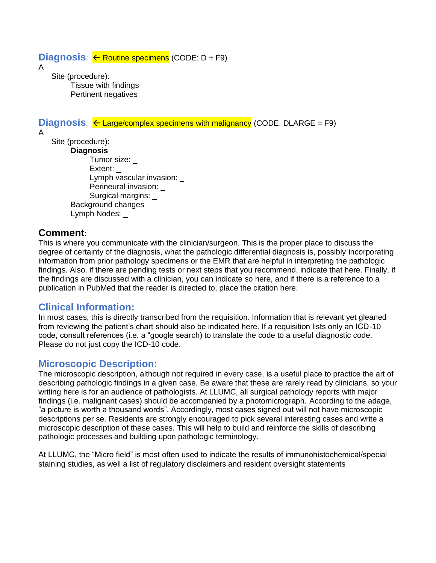### $Diagnosis: \leftarrow$  Routine specimens (CODE:  $D + F9$ )

A

Site (procedure): Tissue with findings Pertinent negatives

**Diagnosis:**  $\leftarrow$  Large/complex specimens with malignancy (CODE: DLARGE = F9)

A

Site (procedure): **Diagnosis** Tumor size: \_ Extent: Lymph vascular invasion: Perineural invasion: Surgical margins: \_ Background changes Lymph Nodes: \_

# **Comment**:

This is where you communicate with the clinician/surgeon. This is the proper place to discuss the degree of certainty of the diagnosis, what the pathologic differential diagnosis is, possibly incorporating information from prior pathology specimens or the EMR that are helpful in interpreting the pathologic findings. Also, if there are pending tests or next steps that you recommend, indicate that here. Finally, if the findings are discussed with a clinician, you can indicate so here, and if there is a reference to a publication in PubMed that the reader is directed to, place the citation here.

# **Clinical Information:**

In most cases, this is directly transcribed from the requisition. Information that is relevant yet gleaned from reviewing the patient's chart should also be indicated here. If a requisition lists only an ICD-10 code, consult references (i.e. a "google search) to translate the code to a useful diagnostic code. Please do not just copy the ICD-10 code.

# **Microscopic Description:**

The microscopic description, although not required in every case, is a useful place to practice the art of describing pathologic findings in a given case. Be aware that these are rarely read by clinicians, so your writing here is for an audience of pathologists. At LLUMC, all surgical pathology reports with major findings (i.e. malignant cases) should be accompanied by a photomicrograph. According to the adage, "a picture is worth a thousand words". Accordingly, most cases signed out will not have microscopic descriptions per se. Residents are strongly encouraged to pick several interesting cases and write a microscopic description of these cases. This will help to build and reinforce the skills of describing pathologic processes and building upon pathologic terminology.

At LLUMC, the "Micro field" is most often used to indicate the results of immunohistochemical/special staining studies, as well a list of regulatory disclaimers and resident oversight statements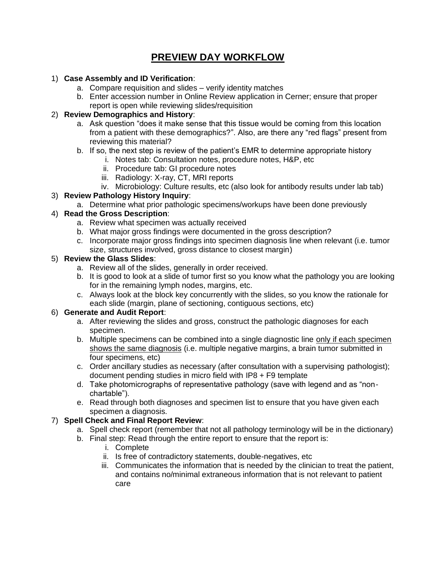# **PREVIEW DAY WORKFLOW**

### 1) **Case Assembly and ID Verification**:

- a. Compare requisition and slides verify identity matches
- b. Enter accession number in Online Review application in Cerner; ensure that proper report is open while reviewing slides/requisition

### 2) **Review Demographics and History**:

- a. Ask question "does it make sense that this tissue would be coming from this location from a patient with these demographics?". Also, are there any "red flags" present from reviewing this material?
- b. If so, the next step is review of the patient's EMR to determine appropriate history
	- i. Notes tab: Consultation notes, procedure notes, H&P, etc
		- ii. Procedure tab: GI procedure notes
		- iii. Radiology: X-ray, CT, MRI reports
	- iv. Microbiology: Culture results, etc (also look for antibody results under lab tab)

### 3) **Review Pathology History Inquiry**:

a. Determine what prior pathologic specimens/workups have been done previously

### 4) **Read the Gross Description**:

- a. Review what specimen was actually received
- b. What major gross findings were documented in the gross description?
- c. Incorporate major gross findings into specimen diagnosis line when relevant (i.e. tumor size, structures involved, gross distance to closest margin)

### 5) **Review the Glass Slides**:

- a. Review all of the slides, generally in order received.
- b. It is good to look at a slide of tumor first so you know what the pathology you are looking for in the remaining lymph nodes, margins, etc.
- c. Always look at the block key concurrently with the slides, so you know the rationale for each slide (margin, plane of sectioning, contiguous sections, etc)

### 6) **Generate and Audit Report**:

- a. After reviewing the slides and gross, construct the pathologic diagnoses for each specimen.
- b. Multiple specimens can be combined into a single diagnostic line only if each specimen shows the same diagnosis (i.e. multiple negative margins, a brain tumor submitted in four specimens, etc)
- c. Order ancillary studies as necessary (after consultation with a supervising pathologist); document pending studies in micro field with IP8 + F9 template
- d. Take photomicrographs of representative pathology (save with legend and as "nonchartable").
- e. Read through both diagnoses and specimen list to ensure that you have given each specimen a diagnosis.

### 7) **Spell Check and Final Report Review**:

- a. Spell check report (remember that not all pathology terminology will be in the dictionary)
- b. Final step: Read through the entire report to ensure that the report is:
	- i. Complete
	- ii. Is free of contradictory statements, double-negatives, etc
	- iii. Communicates the information that is needed by the clinician to treat the patient, and contains no/minimal extraneous information that is not relevant to patient care